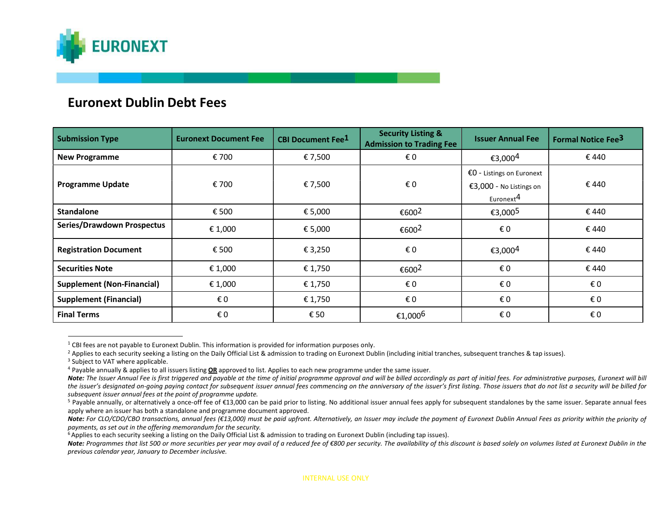

## Euronext Dublin Debt Fees

| <b>Submission Type</b>            | <b>Euronext Document Fee</b> | <b>CBI Document Fee<sup>1</sup></b> | <b>Security Listing &amp;</b><br><b>Admission to Trading Fee</b> | <b>Issuer Annual Fee</b>                                                      | <b>Formal Notice Fee<sup>3</sup></b> |
|-----------------------------------|------------------------------|-------------------------------------|------------------------------------------------------------------|-------------------------------------------------------------------------------|--------------------------------------|
| <b>New Programme</b>              | € 700                        | € 7,500                             | € 0                                                              | €3,000 <sup>4</sup>                                                           | €440                                 |
| <b>Programme Update</b>           | € 700                        | € 7,500                             | € 0                                                              | €O - Listings on Euronext<br>€3,000 - No Listings on<br>Euronext <sup>4</sup> | €440                                 |
| <b>Standalone</b>                 | € 500                        | € 5,000                             | €6002                                                            | €3,0005                                                                       | €440                                 |
| <b>Series/Drawdown Prospectus</b> | € 1,000                      | € 5,000                             | €600 <sup>2</sup>                                                | €0                                                                            | € 440                                |
| <b>Registration Document</b>      | € 500                        | € 3,250                             | € 0                                                              | €3,000 <sup>4</sup>                                                           | € 440                                |
| <b>Securities Note</b>            | € 1,000                      | € 1,750                             | €600 <sup>2</sup>                                                | € 0                                                                           | €440                                 |
| <b>Supplement (Non-Financial)</b> | € 1,000                      | € 1,750                             | € 0                                                              | € 0                                                                           | € 0                                  |
| <b>Supplement (Financial)</b>     | €0                           | € 1,750                             | € 0                                                              | € 0                                                                           | € 0                                  |
| <b>Final Terms</b>                | €0                           | € 50                                | €1,000 <sup>6</sup>                                              | €0                                                                            | €0                                   |

 $1$  CBI fees are not payable to Euronext Dublin. This information is provided for information purposes only.

<sup>&</sup>lt;sup>2</sup> Applies to each security seeking a listing on the Daily Official List & admission to trading on Euronext Dublin (including initial tranches, subsequent tranches & tap issues).

<sup>&</sup>lt;sup>3</sup> Subject to VAT where applicable.

 $4$  Payable annually & applies to all issuers listing  $QR$  approved to list. Applies to each new programme under the same issuer.

Note: The Issuer Annual Fee is first triggered and payable at the time of initial programme approval and will be billed accordingly as part of initial fees. For administrative purposes, Euronext will bill the issuer's designated on-going paying contact for subsequent issuer annual fees commencing on the anniversary of the issuer's first listing. Those issuers that do not list a security will be billed for subsequent issuer annual fees at the point of programme update.

<sup>&</sup>lt;sup>5</sup> Payable annually, or alternatively a once-off fee of €13,000 can be paid prior to listing. No additional issuer annual fees apply for subsequent standalones by the same issuer. Separate annual fees apply where an issuer has both a standalone and programme document approved.

Note: For CLO/CDO/CBO transactions, annual fees (€13,000) must be paid upfront. Alternatively, an Issuer may include the payment of Euronext Dublin Annual Fees as priority within the priority of payments, as set out in the offering memorandum for the security.

<sup>&</sup>lt;sup>6</sup> Applies to each security seeking a listing on the Daily Official List & admission to trading on Euronext Dublin (including tap issues).

Note: Programmes that list 500 or more securities per year may avail of a reduced fee of €800 per security. The availability of this discount is based solely on volumes listed at Euronext Dublin in the previous calendar year, January to December inclusive.